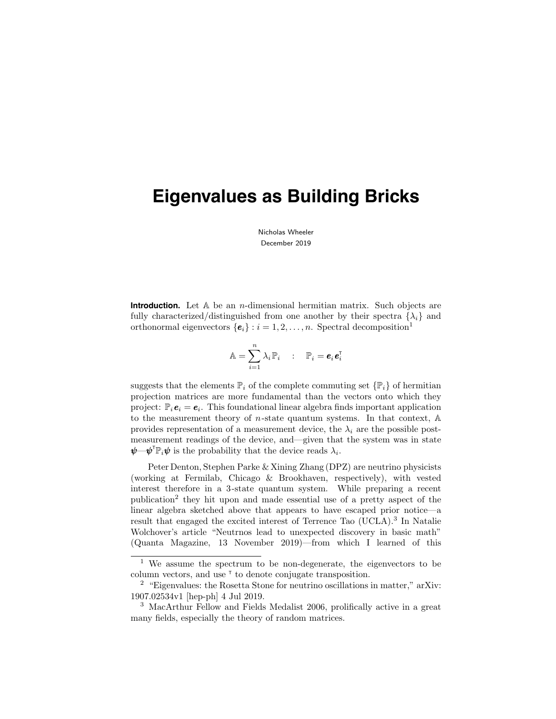Nicholas Wheeler December 2019

**Introduction.** Let A be an *n*-dimensional hermitian matrix. Such objects are fully characterized/distinguished from one another by their spectra  $\{\lambda_i\}$  and orthonormal eigenvectors  $\{\boldsymbol{e}_i\}$ :  $i = 1, 2, ..., n$ . Spectral decomposition<sup>1</sup>

$$
\mathbb{A} = \sum_{i=1}^n \lambda_i \, \mathbb{P}_i \quad : \quad \mathbb{P}_i = \bm{e}_i \bm{e}_i^{\intercal}
$$

suggests that the elements  $\mathbb{P}_i$  of the complete commuting set  $\{\mathbb{P}_i\}$  of hermitian projection matrices are more fundamental than the vectors onto which they project:  $\mathbb{P}_i$   $\mathbf{e}_i = \mathbf{e}_i$ . This foundational linear algebra finds important application to the measurement theory of *n*-state quantum systems. In that context,  $A$ provides representation of a measurement device, the  $\lambda_i$  are the possible postmeasurement readings of the device, and—given that the system was in state  $\pmb{\psi}$ — $\pmb{\psi}^{\text{T}} \mathbb{P}_i \pmb{\psi}$  is the probability that the device reads  $\lambda_i$ .

Peter Denton, Stephen Parke & Xining Zhang (DPZ) are neutrino physicists (working at Fermilab, Chicago & Brookhaven, respectively), with vested interest therefore in a 3-state quantum system. While preparing a recent publication<sup>2</sup> they hit upon and made essential use of a pretty aspect of the linear algebra sketched above that appears to have escaped prior notice—a result that engaged the excited interest of Terrence Tao (UCLA).<sup>3</sup> In Natalie Wolchover's article "Neutrnos lead to unexpected discovery in basic math" (Quanta Magazine, 13 November 2019)—from which I learned of this

<sup>1</sup> We assume the spectrum to be non-degenerate, the eigenvectors to be column vectors, and use  $\tau$  to denote conjugate transposition.

<sup>2</sup> "Eigenvalues: the Rosetta Stone for neutrino oscillations in matter," arXiv: 1907.02534v1 [hep-ph] 4 Jul 2019.

<sup>3</sup> MacArthur Fellow and Fields Medalist 2006, prolifically active in a great many fields, especially the theory of random matrices.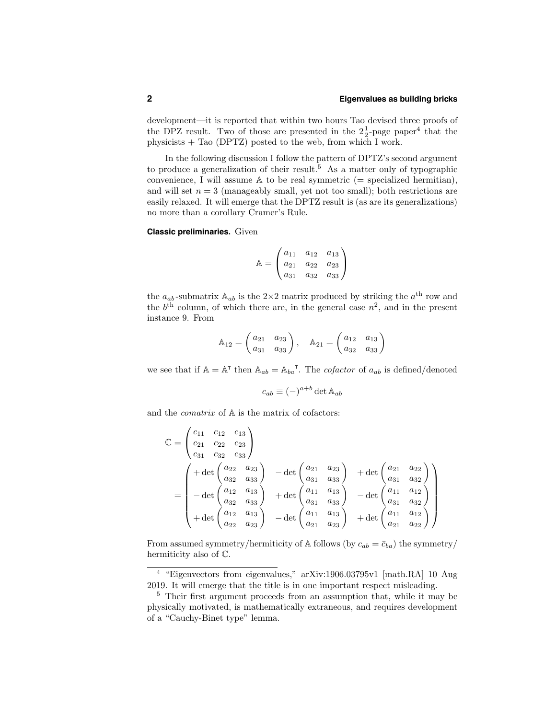development—it is reported that within two hours Tao devised three proofs of the DPZ result. Two of those are presented in the  $2\frac{1}{2}$ -page paper<sup>4</sup> that the physicists + Tao (DPTZ) posted to the web, from which I work.

In the following discussion I follow the pattern of DPTZ's second argument to produce a generalization of their result.<sup>5</sup> As a matter only of typographic convenience, I will assume  $A$  to be real symmetric (= specialized hermitian), and will set  $n = 3$  (manageably small, yet not too small); both restrictions are easily relaxed. It will emerge that the DPTZ result is (as are its generalizations) no more than a corollary Cramer's Rule.

**Classic preliminaries.** Given

$$
\mathbb{A} = \begin{pmatrix} a_{11} & a_{12} & a_{13} \\ a_{21} & a_{22} & a_{23} \\ a_{31} & a_{32} & a_{33} \end{pmatrix}
$$

the  $a_{ab}$ -submatrix  $A_{ab}$  is the 2×2 matrix produced by striking the  $a^{\text{th}}$  row and the  $b<sup>th</sup>$  column, of which there are, in the general case  $n<sup>2</sup>$ , and in the present instance 9. From

$$
\mathbb{A}_{12} = \begin{pmatrix} a_{21} & a_{23} \\ a_{31} & a_{33} \end{pmatrix}, \quad \mathbb{A}_{21} = \begin{pmatrix} a_{12} & a_{13} \\ a_{32} & a_{33} \end{pmatrix}
$$

we see that if  $\mathbb{A} = \mathbb{A}^{\mathsf{T}}$  then  $\mathbb{A}_{ab} = \mathbb{A}_{ba}^{\mathsf{T}}$ . The *cofactor* of  $a_{ab}$  is defined/denoted

$$
c_{ab} \equiv (-)^{a+b} \det \mathbb{A}_{ab}
$$

and the *comatrix* of  $A$  is the matrix of cofactors:

$$
\mathbb{C} = \begin{pmatrix} c_{11} & c_{12} & c_{13} \\ c_{21} & c_{22} & c_{23} \\ c_{31} & c_{32} & c_{33} \end{pmatrix}
$$
  
= 
$$
\begin{pmatrix} + \det \begin{pmatrix} a_{22} & a_{23} \\ a_{32} & a_{33} \end{pmatrix} & - \det \begin{pmatrix} a_{21} & a_{23} \\ a_{31} & a_{33} \end{pmatrix} & + \det \begin{pmatrix} a_{21} & a_{22} \\ a_{31} & a_{32} \end{pmatrix} \\ - \det \begin{pmatrix} a_{12} & a_{13} \\ a_{32} & a_{33} \end{pmatrix} & + \det \begin{pmatrix} a_{11} & a_{13} \\ a_{31} & a_{33} \end{pmatrix} & - \det \begin{pmatrix} a_{11} & a_{12} \\ a_{31} & a_{32} \end{pmatrix} \\ + \det \begin{pmatrix} a_{12} & a_{13} \\ a_{22} & a_{23} \end{pmatrix} & - \det \begin{pmatrix} a_{11} & a_{13} \\ a_{21} & a_{23} \end{pmatrix} & + \det \begin{pmatrix} a_{11} & a_{12} \\ a_{21} & a_{22} \end{pmatrix} \end{pmatrix}
$$

From assumed symmetry/hermiticity of A follows (by  $c_{ab} = \bar{c}_{ba}$ ) the symmetry/ hermiticity also of C.

<sup>4</sup> "Eigenvectors from eigenvalues," arXiv:1906.03795v1 [math.RA] 10 Aug 2019. It will emerge that the title is in one important respect misleading.

<sup>5</sup> Their first argument proceeds from an assumption that, while it may be physically motivated, is mathematically extraneous, and requires development of a "Cauchy-Binet type" lemma.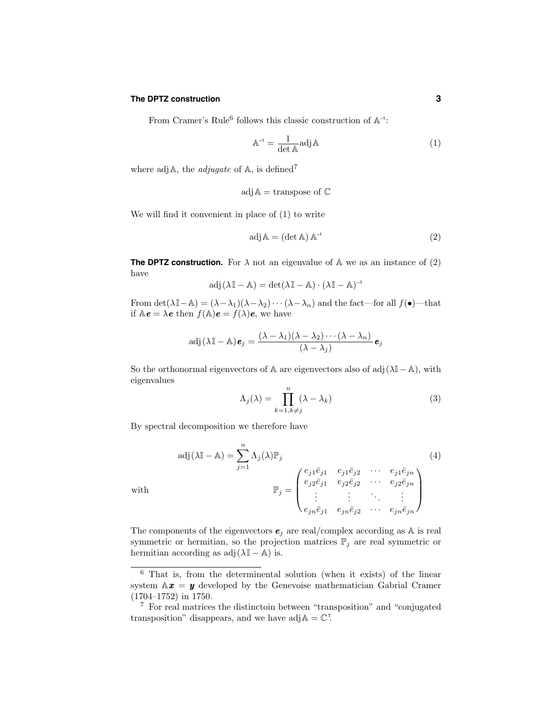### **The DPTZ construction 3**

From Cramer's Rule<sup>6</sup> follows this classic construction of  $\mathbb{A}^{-1}$ :

$$
A^{-1} = \frac{1}{\det A} adj A
$$
 (1)

where adj $A$ , the *adjugate* of  $A$ , is defined<sup>7</sup>

$$
\mathrm{adj}\,\mathbb{A}=\mathrm{transpose\ of}\ \mathbb{C}
$$

We will find it convenient in place of (1) to write

$$
adj \mathbb{A} = (\det \mathbb{A}) \mathbb{A}^{-1} \tag{2}
$$

**The DPTZ construction.** For  $\lambda$  not an eigenvalue of  $\mathbb{A}$  we as an instance of (2) have

$$
adj(\lambda \mathbb{I} - \mathbb{A}) = det(\lambda \mathbb{I} - \mathbb{A}) \cdot (\lambda \mathbb{I} - \mathbb{A})^{-1}
$$

From det( $\lambda \mathbb{I}-\mathbb{A}$ ) =  $(\lambda - \lambda_1)(\lambda - \lambda_2) \cdots (\lambda - \lambda_n)$  and the fact—for all  $f(\bullet)$ —that if  $\mathbb{A}\boldsymbol{e} = \lambda \boldsymbol{e}$  then  $f(\mathbb{A})\boldsymbol{e} = f(\lambda)\boldsymbol{e}$ , we have

$$
\mathrm{adj}(\lambda \mathbb{I} - \mathbb{A}) \mathbf{e}_j = \frac{(\lambda - \lambda_1)(\lambda - \lambda_2) \cdots (\lambda - \lambda_n)}{(\lambda - \lambda_j)} \mathbf{e}_j
$$

So the orthonormal eigenvectors of A are eigenvectors also of adj $(\lambda \mathbb{I} - \mathbb{A})$ , with eigenvalues

$$
\Lambda_j(\lambda) = \prod_{k=1, k \neq j}^n (\lambda - \lambda_k)
$$
\n(3)

By spectral decomposition we therefore have

$$
adj(\lambda \mathbb{I} - \mathbb{A}) = \sum_{j=1}^{n} \Lambda_j(\lambda) \mathbb{P}_j
$$
\nwith\n
$$
\mathbb{P}_j = \begin{pmatrix}\ne_{j1} \overline{e}_{j1} & e_{j1} \overline{e}_{j2} & \cdots & e_{j1} \overline{e}_{jn} \\
e_{j2} \overline{e}_{j1} & e_{j2} \overline{e}_{j2} & \cdots & e_{j2} \overline{e}_{jn} \\
\vdots & \vdots & \ddots & \vdots \\
e_{jn} \overline{e}_{j1} & e_{jn} \overline{e}_{j2} & \cdots & e_{jn} \overline{e}_{jn}\n\end{pmatrix}
$$
\n(4)

The components of the eigenvectors  $e_j$  are real/complex according as A is real symmetric or hermitian, so the projection matrices  $\mathbb{P}_j$  are real symmetric or hermitian according as  $adj(\lambda \mathbb{I} - \mathbb{A})$  is.

<sup>6</sup> That is, from the determinental solution (when it exists) of the linear system  $A\mathbf{x} = \mathbf{y}$  developed by the Genevoise mathematician Gabrial Cramer (1704–1752) in 1750.

<sup>7</sup> For real matrices the distinctoin between "transposition" and "conjugated transposition" disappears, and we have  $\text{adj}\,\mathbb{A} = \mathbb{C}^T$ .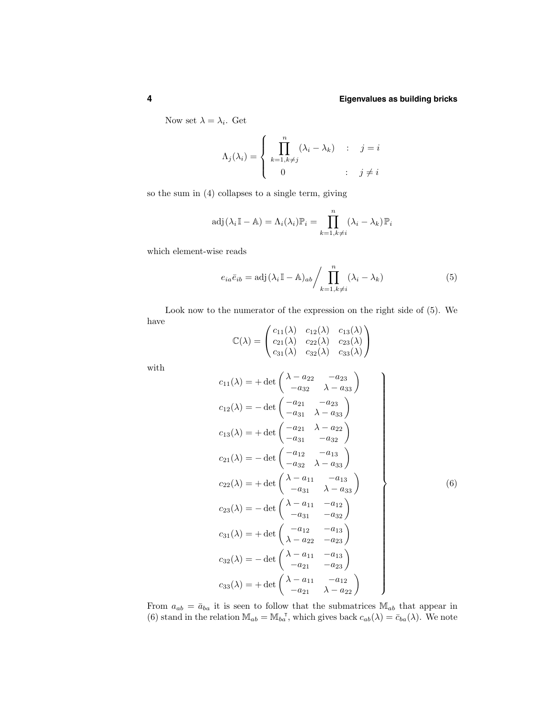Now set  $\lambda = \lambda_i$ . Get

$$
\Lambda_j(\lambda_i) = \begin{cases} \prod_{k=1, k \neq j}^n (\lambda_i - \lambda_k) & \colon & j = i \\ 0 & \colon & j \neq i \end{cases}
$$

so the sum in (4) collapses to a single term, giving

$$
\text{adj}(\lambda_i \mathbb{I} - \mathbb{A}) = \Lambda_i(\lambda_i) \mathbb{P}_i = \prod_{k=1, k \neq i}^n (\lambda_i - \lambda_k) \mathbb{P}_i
$$

which element-wise reads

$$
e_{ia}\bar{e}_{ib} = \text{adj}(\lambda_i \mathbb{I} - \mathbb{A})_{ab} / \prod_{k=1, k \neq i}^{n} (\lambda_i - \lambda_k)
$$
 (5)

Look now to the numerator of the expression on the right side of (5). We have  $\overline{a}$ 

$$
\mathbb{C}(\lambda) = \begin{pmatrix} c_{11}(\lambda) & c_{12}(\lambda) & c_{13}(\lambda) \\ c_{21}(\lambda) & c_{22}(\lambda) & c_{23}(\lambda) \\ c_{31}(\lambda) & c_{32}(\lambda) & c_{33}(\lambda) \end{pmatrix}
$$

with

$$
c_{11}(\lambda) = + \det \begin{pmatrix} \lambda - a_{22} & -a_{23} \\ -a_{32} & \lambda - a_{33} \end{pmatrix}
$$
  
\n
$$
c_{12}(\lambda) = - \det \begin{pmatrix} -a_{21} & -a_{23} \\ -a_{31} & \lambda - a_{33} \end{pmatrix}
$$
  
\n
$$
c_{13}(\lambda) = + \det \begin{pmatrix} -a_{21} & \lambda - a_{22} \\ -a_{31} & -a_{32} \end{pmatrix}
$$
  
\n
$$
c_{21}(\lambda) = - \det \begin{pmatrix} -a_{12} & -a_{13} \\ -a_{32} & \lambda - a_{33} \end{pmatrix}
$$
  
\n
$$
c_{22}(\lambda) = + \det \begin{pmatrix} \lambda - a_{11} & -a_{13} \\ -a_{31} & \lambda - a_{32} \end{pmatrix}
$$
  
\n
$$
c_{23}(\lambda) = - \det \begin{pmatrix} \lambda - a_{11} & -a_{12} \\ -a_{31} & -a_{32} \end{pmatrix}
$$
  
\n
$$
c_{31}(\lambda) = + \det \begin{pmatrix} -a_{12} & -a_{13} \\ \lambda - a_{22} & -a_{23} \end{pmatrix}
$$
  
\n
$$
c_{32}(\lambda) = - \det \begin{pmatrix} \lambda - a_{11} & -a_{13} \\ -a_{21} & -a_{23} \end{pmatrix}
$$
  
\n
$$
c_{33}(\lambda) = + \det \begin{pmatrix} \lambda - a_{11} & -a_{12} \\ -a_{21} & \lambda - a_{22} \end{pmatrix}
$$

From  $a_{ab} = \bar{a}_{ba}$  it is seen to follow that the submatrices  $\mathbb{M}_{ab}$  that appear in (6) stand in the relation  $\mathbb{M}_{ab} = \mathbb{M}_{ba}^T$ , which gives back  $c_{ab}(\lambda) = \bar{c}_{ba}(\lambda)$ . We note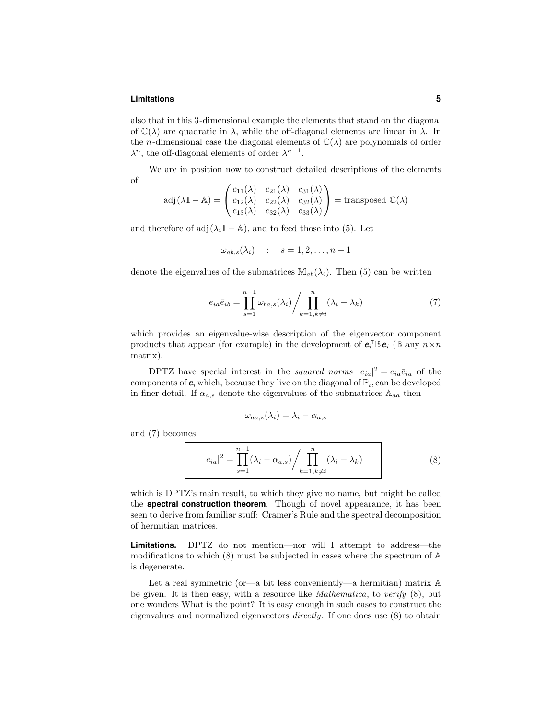#### **Limitations 5**

also that in this 3-dimensional example the elements that stand on the diagonal of  $\mathbb{C}(\lambda)$  are quadratic in  $\lambda$ , while the off-diagonal elements are linear in  $\lambda$ . In the *n*-dimensional case the diagonal elements of  $\mathbb{C}(\lambda)$  are polynomials of order  $\lambda^n$ , the off-diagonal elements of order  $\lambda^{n-1}$ .

We are in position now to construct detailed descriptions of the elements of

$$
adj(\lambda \mathbb{I} - \mathbb{A}) = \begin{pmatrix} c_{11}(\lambda) & c_{21}(\lambda) & c_{31}(\lambda) \\ c_{12}(\lambda) & c_{22}(\lambda) & c_{32}(\lambda) \\ c_{13}(\lambda) & c_{32}(\lambda) & c_{33}(\lambda) \end{pmatrix} = \text{transposed } \mathbb{C}(\lambda)
$$

and therefore of adj( $\lambda_i$ I – A), and to feed those into (5). Let

$$
\omega_{ab,s}(\lambda_i) \quad : \quad s = 1, 2, \dots, n-1
$$

denote the eigenvalues of the submatrices  $\mathbb{M}_{ab}(\lambda_i)$ . Then (5) can be written

$$
e_{ia}\bar{e}_{ib} = \prod_{s=1}^{n-1} \omega_{ba,s}(\lambda_i) / \prod_{k=1, k \neq i}^{n} (\lambda_i - \lambda_k)
$$
 (7)

which provides an eigenvalue-wise description of the eigenvector component products that appear (for example) in the development of  $e_i^{\dagger} \mathbb{B} e_i$  ( $\mathbb{B}$  any  $n \times n$ matrix).

DPTZ have special interest in the *squared norms*  $|e_{ia}|^2 = e_{ia}\overline{e}_{ia}$  of the components of  $e_i$  which, because they live on the diagonal of  $\mathbb{P}_i$ , can be developed in finer detail. If  $\alpha_{a,s}$  denote the eigenvalues of the submatrices  $\mathbb{A}_{aa}$  then

$$
\omega_{aa,s}(\lambda_i) = \lambda_i - \alpha_{a,s}
$$

and (7) becomes

$$
|e_{ia}|^2 = \prod_{s=1}^{n-1} (\lambda_i - \alpha_{a,s}) / \prod_{k=1, k \neq i}^n (\lambda_i - \lambda_k)
$$
\n(8)

which is DPTZ's main result, to which they give no name, but might be called the **spectral construction theorem**. Though of novel appearance, it has been seen to derive from familiar stuff: Cramer's Rule and the spectral decomposition of hermitian matrices.

**Limitations.** DPTZ do not mention—nor will I attempt to address—the modifications to which (8) must be subjected in cases where the spectrum of A is degenerate.

Let a real symmetric (or—a bit less conveniently—a hermitian) matrix A be given. It is then easy, with a resource like *Mathematica*, to verify  $(8)$ , but one wonders What is the point? It is easy enough in such cases to construct the eigenvalues and normalized eigenvectors directly. If one does use (8) to obtain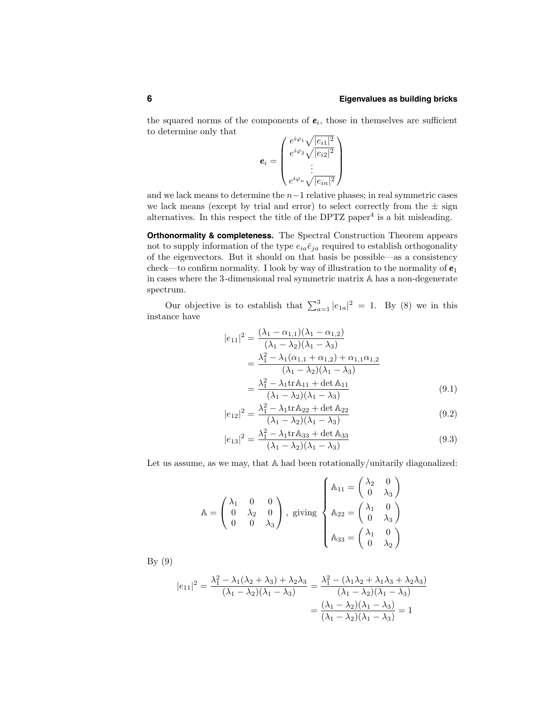the squared norms of the components of  $e_i$ , those in themselves are sufficient to determine only that

 $e_i =$  $\sqrt{ }$  $\overline{\phantom{a}}$  $e^{i\varphi_1}\sqrt{|e_{i1}|^2}$  $e^{i\varphi_2}\sqrt{|e_{i2}|^2}$ . . .  $e^{i\varphi_n}\sqrt{|e_{in}|^2}$  $\setminus$  $\Big\}$ 

and we lack means to determine the n−1 relative phases; in real symmetric cases we lack means (except by trial and error) to select correctly from the  $\pm$  sign alternatives. In this respect the title of the DPTZ paper<sup>4</sup> is a bit misleading.

**Orthonormality & completeness.** The Spectral Construction Theorem appears not to supply information of the type  $e_{ia}\bar{e}_{ja}$  required to establish orthogonality of the eigenvectors. But it should on that basis be possible—as a consistency check—to confirm normality. I look by way of illustration to the normality of  $e_1$ in cases where the 3-dimensional real symmetric matrix A has a non-degenerate spectrum.

Our objective is to establish that  $\sum_{a=1}^{3} |e_{1a}|^2 = 1$ . By (8) we in this instance have

$$
|e_{11}|^2 = \frac{(\lambda_1 - \alpha_{1,1})(\lambda_1 - \alpha_{1,2})}{(\lambda_1 - \lambda_2)(\lambda_1 - \lambda_3)}
$$
  
= 
$$
\frac{\lambda_1^2 - \lambda_1(\alpha_{1,1} + \alpha_{1,2}) + \alpha_{1,1}\alpha_{1,2}}{(\lambda_1 - \lambda_2)(\lambda_1 - \lambda_3)}
$$
  
= 
$$
\frac{\lambda_1^2 - \lambda_1 \text{tr} \mathbb{A}_{11} + \det \mathbb{A}_{11}}{(\lambda_1 - \lambda_2)(\lambda_1 - \lambda_3)}
$$
(9.1)

$$
|e_{12}|^2 = \frac{\lambda_1^2 - \lambda_1 \text{tr} \mathbb{A}_{22} + \det \mathbb{A}_{22}}{(\lambda_1 - \lambda_2)(\lambda_1 - \lambda_3)}
$$
(9.2)

$$
|e_{13}|^2 = \frac{\lambda_1^2 - \lambda_1 \text{tr} \mathbb{A}_{33} + \det \mathbb{A}_{33}}{(\lambda_1 - \lambda_2)(\lambda_1 - \lambda_3)}
$$
(9.3)

Let us assume, as we may, that A had been rotationally/unitarily diagonalized:

$$
\mathbb{A} = \begin{pmatrix} \lambda_1 & 0 & 0 \\ 0 & \lambda_2 & 0 \\ 0 & 0 & \lambda_3 \end{pmatrix}, \text{ giving } \begin{cases} \mathbb{A}_{11} = \begin{pmatrix} \lambda_2 & 0 \\ 0 & \lambda_3 \end{pmatrix} \\ \mathbb{A}_{22} = \begin{pmatrix} \lambda_1 & 0 \\ 0 & \lambda_3 \end{pmatrix} \\ \mathbb{A}_{33} = \begin{pmatrix} \lambda_1 & 0 \\ 0 & \lambda_2 \end{pmatrix} \end{cases}
$$

By (9)

$$
|e_{11}|^2 = \frac{\lambda_1^2 - \lambda_1(\lambda_2 + \lambda_3) + \lambda_2\lambda_3}{(\lambda_1 - \lambda_2)(\lambda_1 - \lambda_3)} = \frac{\lambda_1^2 - (\lambda_1\lambda_2 + \lambda_1\lambda_3 + \lambda_2\lambda_3)}{(\lambda_1 - \lambda_2)(\lambda_1 - \lambda_3)}
$$

$$
= \frac{(\lambda_1 - \lambda_2)(\lambda_1 - \lambda_3)}{(\lambda_1 - \lambda_2)(\lambda_1 - \lambda_3)} = 1
$$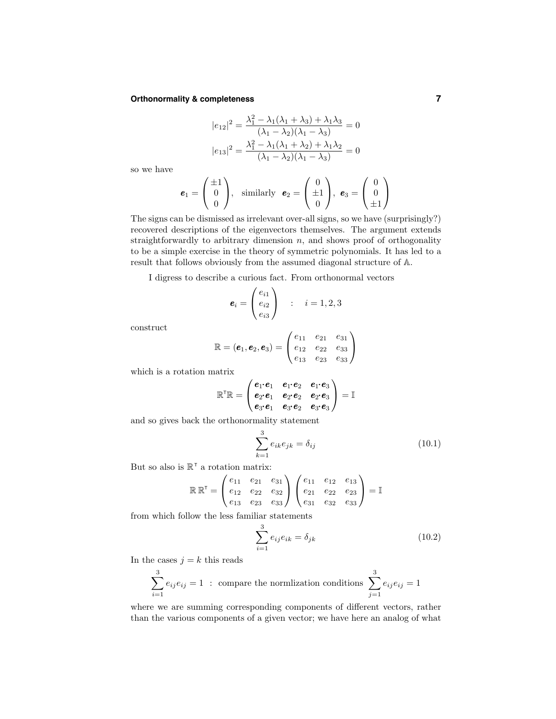# **Orthonormality & completeness 7**

$$
|e_{12}|^2 = \frac{\lambda_1^2 - \lambda_1(\lambda_1 + \lambda_3) + \lambda_1\lambda_3}{(\lambda_1 - \lambda_2)(\lambda_1 - \lambda_3)} = 0
$$
  

$$
|e_{13}|^2 = \frac{\lambda_1^2 - \lambda_1(\lambda_1 + \lambda_2) + \lambda_1\lambda_2}{(\lambda_1 - \lambda_2)(\lambda_1 - \lambda_3)} = 0
$$

so we have

$$
\boldsymbol{e}_1 = \begin{pmatrix} \pm 1 \\ 0 \\ 0 \end{pmatrix}, \text{ similarly } \boldsymbol{e}_2 = \begin{pmatrix} 0 \\ \pm 1 \\ 0 \end{pmatrix}, \boldsymbol{e}_3 = \begin{pmatrix} 0 \\ 0 \\ \pm 1 \end{pmatrix}
$$

The signs can be dismissed as irrelevant over-all signs, so we have (surprisingly?) recovered descriptions of the eigenvectors themselves. The argument extends straightforwardly to arbitrary dimension  $n$ , and shows proof of orthogonality to be a simple exercise in the theory of symmetric polynomials. It has led to a result that follows obviously from the assumed diagonal structure of A.

I digress to describe a curious fact. From orthonormal vectors

$$
\boldsymbol{e}_i = \begin{pmatrix} e_{i1} \\ e_{i2} \\ e_{i3} \end{pmatrix} \quad : \quad i = 1, 2, 3
$$

construct

$$
\mathbb{R} = (\mathbf{e}_1, \mathbf{e}_2, \mathbf{e}_3) = \begin{pmatrix} e_{11} & e_{21} & e_{31} \\ e_{12} & e_{22} & e_{33} \\ e_{13} & e_{23} & e_{33} \end{pmatrix}
$$

which is a rotation matrix

$$
\mathbb{R}^\intercal \mathbb{R} = \begin{pmatrix} \boldsymbol{e}_1 \boldsymbol{\cdot} \boldsymbol{e}_1 & \boldsymbol{e}_1 \boldsymbol{\cdot} \boldsymbol{e}_2 & \boldsymbol{e}_1 \boldsymbol{\cdot} \boldsymbol{e}_3 \\ \boldsymbol{e}_2 \boldsymbol{\cdot} \boldsymbol{e}_1 & \boldsymbol{e}_2 \boldsymbol{\cdot} \boldsymbol{e}_2 & \boldsymbol{e}_2 \boldsymbol{\cdot} \boldsymbol{e}_3 \\ \boldsymbol{e}_3 \boldsymbol{\cdot} \boldsymbol{e}_1 & \boldsymbol{e}_3 \boldsymbol{\cdot} \boldsymbol{e}_2 & \boldsymbol{e}_3 \boldsymbol{\cdot} \boldsymbol{e}_3 \end{pmatrix} = \mathbb{I}
$$

and so gives back the orthonormality statement

$$
\sum_{k=1}^{3} e_{ik} e_{jk} = \delta_{ij}
$$
 (10.1)

But so also is  $\mathbb{R}^{\tau}$  a rotation matrix:

$$
\mathbb{R}\mathbb{R}^{\mathsf{T}} = \begin{pmatrix} e_{11} & e_{21} & e_{31} \\ e_{12} & e_{22} & e_{32} \\ e_{13} & e_{23} & e_{33} \end{pmatrix} \begin{pmatrix} e_{11} & e_{12} & e_{13} \\ e_{21} & e_{22} & e_{23} \\ e_{31} & e_{32} & e_{33} \end{pmatrix} = \mathbb{I}
$$

from which follow the less familiar statements

$$
\sum_{i=1}^{3} e_{ij} e_{ik} = \delta_{jk}
$$
 (10.2)

In the cases  $j = k$  this reads

$$
\sum_{i=1}^{3} e_{ij} e_{ij} = 1
$$
: compare the normalization conditions 
$$
\sum_{j=1}^{3} e_{ij} e_{ij} = 1
$$

where we are summing corresponding components of different vectors, rather than the various components of a given vector; we have here an analog of what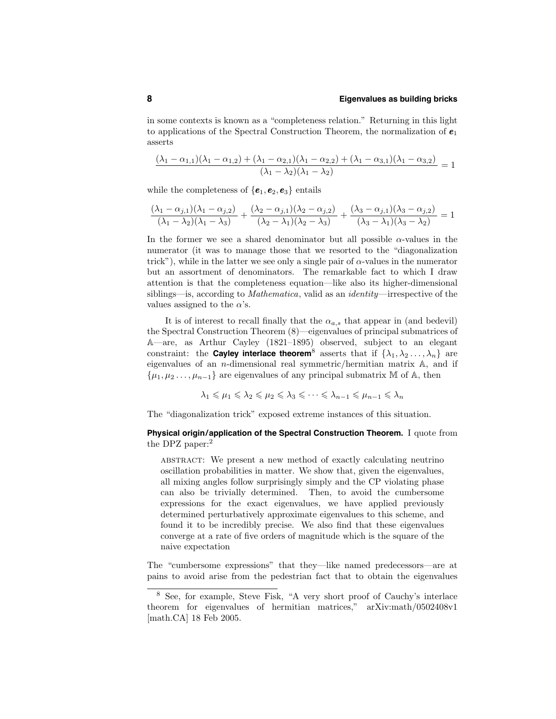in some contexts is known as a "completeness relation." Returning in this light to applications of the Spectral Construction Theorem, the normalization of  $\pmb{e}_1$ asserts

$$
\frac{(\lambda_1 - \alpha_{1,1})(\lambda_1 - \alpha_{1,2}) + (\lambda_1 - \alpha_{2,1})(\lambda_1 - \alpha_{2,2}) + (\lambda_1 - \alpha_{3,1})(\lambda_1 - \alpha_{3,2})}{(\lambda_1 - \lambda_2)(\lambda_1 - \lambda_2)} = 1
$$

while the completeness of  ${e_1, e_2, e_3}$  entails

$$
\frac{(\lambda_1 - \alpha_{j,1})(\lambda_1 - \alpha_{j,2})}{(\lambda_1 - \lambda_2)(\lambda_1 - \lambda_3)} + \frac{(\lambda_2 - \alpha_{j,1})(\lambda_2 - \alpha_{j,2})}{(\lambda_2 - \lambda_1)(\lambda_2 - \lambda_3)} + \frac{(\lambda_3 - \alpha_{j,1})(\lambda_3 - \alpha_{j,2})}{(\lambda_3 - \lambda_1)(\lambda_3 - \lambda_2)} = 1
$$

In the former we see a shared denominator but all possible  $\alpha$ -values in the numerator (it was to manage those that we resorted to the "diagonalization trick"), while in the latter we see only a single pair of  $\alpha$ -values in the numerator but an assortment of denominators. The remarkable fact to which I draw attention is that the completeness equation—like also its higher-dimensional siblings—is, according to Mathematica, valid as an identity—irrespective of the values assigned to the  $\alpha$ 's.

It is of interest to recall finally that the  $\alpha_{a,s}$  that appear in (and bedevil) the Spectral Construction Theorem (8)—eigenvalues of principal submatrices of A—are, as Arthur Cayley (1821–1895) observed, subject to an elegant constraint: the **Cayley interlace theorem**<sup>8</sup> asserts that if  $\{\lambda_1, \lambda_2, ..., \lambda_n\}$  are eigenvalues of an n-dimensional real symmetric/hermitian matrix A, and if  $\{\mu_1, \mu_2 \ldots, \mu_{n-1}\}\$ are eigenvalues of any principal submatrix M of A, then

$$
\lambda_1 \leq \mu_1 \leq \lambda_2 \leq \mu_2 \leq \lambda_3 \leq \cdots \leq \lambda_{n-1} \leq \mu_{n-1} \leq \lambda_n
$$

The "diagonalization trick" exposed extreme instances of this situation.

# **Physical origin/application of the Spectral Construction Theorem.** I quote from the DPZ paper:<sup>2</sup>

abstract: We present a new method of exactly calculating neutrino oscillation probabilities in matter. We show that, given the eigenvalues, all mixing angles follow surprisingly simply and the CP violating phase can also be trivially determined. Then, to avoid the cumbersome expressions for the exact eigenvalues, we have applied previously determined perturbatively approximate eigenvalues to this scheme, and found it to be incredibly precise. We also find that these eigenvalues converge at a rate of five orders of magnitude which is the square of the naive expectation

The "cumbersome expressions" that they—like named predecessors—are at pains to avoid arise from the pedestrian fact that to obtain the eigenvalues

<sup>8</sup> See, for example, Steve Fisk, "A very short proof of Cauchy's interlace theorem for eigenvalues of hermitian matrices," arXiv:math/0502408v1 [math.CA] 18 Feb 2005.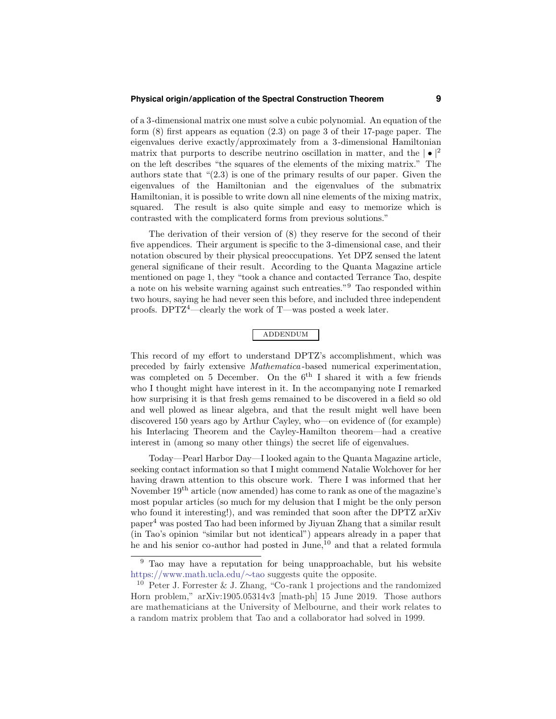### **Physical origin/application of the Spectral Construction Theorem 9**

of a 3-dimensional matrix one must solve a cubic polynomial. An equation of the form (8) first appears as equation (2.3) on page 3 of their 17-page paper. The eigenvalues derive exactly/approximately from a 3-dimensional Hamiltonian matrix that purports to describe neutrino oscillation in matter, and the  $| \bullet |^2$ on the left describes "the squares of the elements of the mixing matrix." The authors state that "(2.3) is one of the primary results of our paper. Given the eigenvalues of the Hamiltonian and the eigenvalues of the submatrix Hamiltonian, it is possible to write down all nine elements of the mixing matrix, squared. The result is also quite simple and easy to memorize which is contrasted with the complicaterd forms from previous solutions."

The derivation of their version of (8) they reserve for the second of their five appendices. Their argument is specific to the 3-dimensional case, and their notation obscured by their physical preoccupations. Yet DPZ sensed the latent general significane of their result. According to the Quanta Magazine article mentioned on page 1, they "took a chance and contacted Terrance Tao, despite a note on his website warning against such entreaties."<sup>9</sup> Tao responded within two hours, saying he had never seen this before, and included three independent proofs. DPTZ<sup>4</sup>—clearly the work of T—was posted a week later.

# addendum

This record of my effort to understand DPTZ's accomplishment, which was preceded by fairly extensive Mathematica -based numerical experimentation, was completed on 5 December. On the  $6<sup>th</sup>$  I shared it with a few friends who I thought might have interest in it. In the accompanying note I remarked how surprising it is that fresh gems remained to be discovered in a field so old and well plowed as linear algebra, and that the result might well have been discovered 150 years ago by Arthur Cayley, who—on evidence of (for example) his Interlacing Theorem and the Cayley-Hamilton theorem—had a creative interest in (among so many other things) the secret life of eigenvalues.

Today—Pearl Harbor Day—I looked again to the Quanta Magazine article, seeking contact information so that I might commend Natalie Wolchover for her having drawn attention to this obscure work. There I was informed that her November  $19<sup>th</sup>$  article (now amended) has come to rank as one of the magazine's most popular articles (so much for my delusion that I might be the only person who found it interesting!), and was reminded that soon after the DPTZ arXiv paper<sup>4</sup> was posted Tao had been informed by Jiyuan Zhang that a similar result (in Tao's opinion "similar but not identical") appears already in a paper that he and his senior co-author had posted in June,<sup>10</sup> and that a related formula

<sup>9</sup> Tao may have a reputation for being unapproachable, but his website https://www.math.ucla.edu/∼tao suggests quite the opposite.

<sup>&</sup>lt;sup>10</sup> Peter J. Forrester & J. Zhang, "Co-rank 1 projections and the randomized Horn problem," arXiv:1905.05314v3 [math-ph] 15 June 2019. Those authors are mathematicians at the University of Melbourne, and their work relates to a random matrix problem that Tao and a collaborator had solved in 1999.